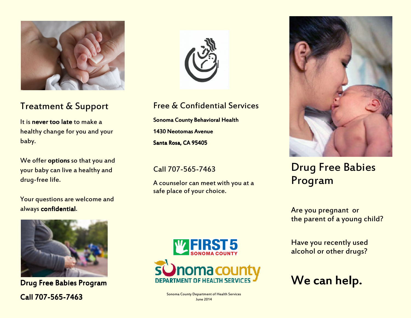

## Treatment & Support

It is **never too late** to make a healthy change for you and your baby.

We offer options so that you and your baby can live <sup>a</sup> healthy and drug-free life.

Your questions are welcome and always confidential.



#### Free & Confidential Services

Sonoma County Behavioral Health 1430 Neotomas AvenueSanta Rosa, CA 95405

Call 707-565-7463

A counselor can meet with you at <sup>a</sup> safe place of your choice.



# Drug Free Babies Program

Are you pregnan<sup>t</sup> or the paren<sup>t</sup> of <sup>a</sup> young child?

Have you recently used alcohol or other drugs?

We can help.



Drug Free Babies Program Call 707-565-7463



Sonoma County Department of Health Services June 2014